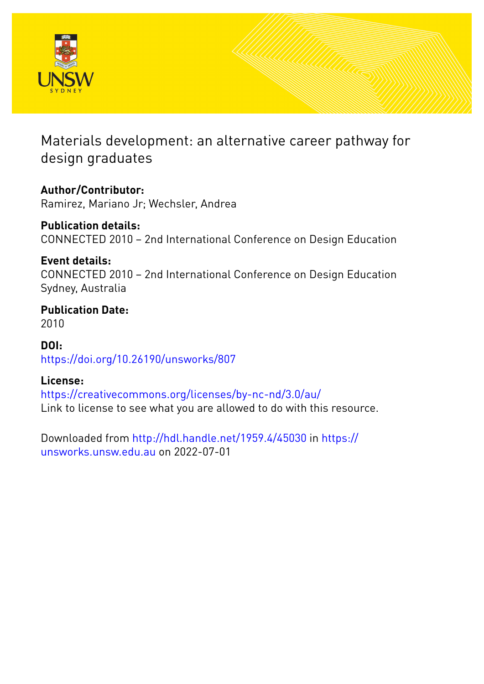

# Materials development: an alternative career pathway for design graduates

### **Author/Contributor:** Ramirez, Mariano Jr; Wechsler, Andrea

**Publication details:** CONNECTED 2010 – 2nd International Conference on Design Education

## **Event details:** CONNECTED 2010 – 2nd International Conference on Design Education Sydney, Australia

**Publication Date:** 2010

### **DOI:** [https://doi.org/10.26190/unsworks/807](http://dx.doi.org/https://doi.org/10.26190/unsworks/807)

# **License:**

<https://creativecommons.org/licenses/by-nc-nd/3.0/au/> Link to license to see what you are allowed to do with this resource.

Downloaded from <http://hdl.handle.net/1959.4/45030> in [https://](https://unsworks.unsw.edu.au) [unsworks.unsw.edu.au](https://unsworks.unsw.edu.au) on 2022-07-01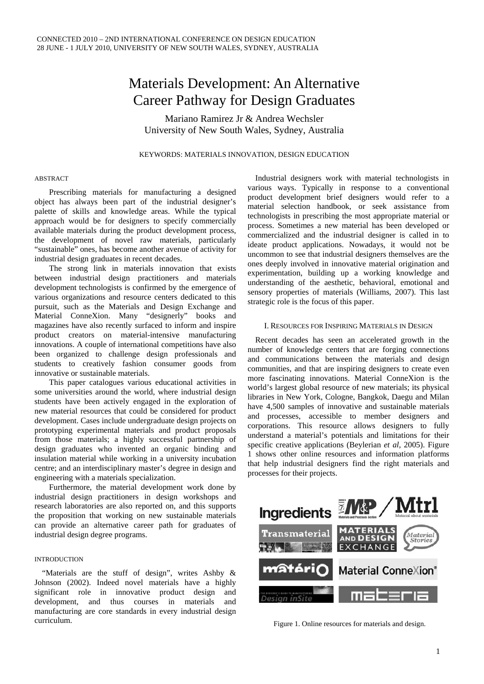## Materials Development: An Alternative Career Pathway for Design Graduates

Mariano Ramirez Jr & Andrea Wechsler University of New South Wales, Sydney, Australia

#### KEYWORDS: MATERIALS INNOVATION, DESIGN EDUCATION

#### ABSTRACT

 Prescribing materials for manufacturing a designed object has always been part of the industrial designer's palette of skills and knowledge areas. While the typical approach would be for designers to specify commercially available materials during the product development process, the development of novel raw materials, particularly "sustainable" ones, has become another avenue of activity for industrial design graduates in recent decades.

 The strong link in materials innovation that exists between industrial design practitioners and materials development technologists is confirmed by the emergence of various organizations and resource centers dedicated to this pursuit, such as the Materials and Design Exchange and Material ConneXion. Many "designerly" books and magazines have also recently surfaced to inform and inspire product creators on material-intensive manufacturing innovations. A couple of international competitions have also been organized to challenge design professionals and students to creatively fashion consumer goods from innovative or sustainable materials.

 This paper catalogues various educational activities in some universities around the world, where industrial design students have been actively engaged in the exploration of new material resources that could be considered for product development. Cases include undergraduate design projects on prototyping experimental materials and product proposals from those materials; a highly successful partnership of design graduates who invented an organic binding and insulation material while working in a university incubation centre; and an interdisciplinary master's degree in design and engineering with a materials specialization.

 Furthermore, the material development work done by industrial design practitioners in design workshops and research laboratories are also reported on, and this supports the proposition that working on new sustainable materials can provide an alternative career path for graduates of industrial design degree programs.

#### INTRODUCTION

"Materials are the stuff of design", writes Ashby & Johnson (2002). Indeed novel materials have a highly significant role in innovative product design and development, and thus courses in materials and manufacturing are core standards in every industrial design curriculum.

Industrial designers work with material technologists in various ways. Typically in response to a conventional product development brief designers would refer to a material selection handbook, or seek assistance from technologists in prescribing the most appropriate material or process. Sometimes a new material has been developed or commercialized and the industrial designer is called in to ideate product applications. Nowadays, it would not be uncommon to see that industrial designers themselves are the ones deeply involved in innovative material origination and experimentation, building up a working knowledge and understanding of the aesthetic, behavioral, emotional and sensory properties of materials (Williams, 2007). This last strategic role is the focus of this paper.

#### I. RESOURCES FOR INSPIRING MATERIALS IN DESIGN

Recent decades has seen an accelerated growth in the number of knowledge centers that are forging connections and communications between the materials and design communities, and that are inspiring designers to create even more fascinating innovations. Material ConneXion is the world's largest global resource of new materials; its physical libraries in New York, Cologne, Bangkok, Daegu and Milan have 4,500 samples of innovative and sustainable materials and processes, accessible to member designers and corporations. This resource allows designers to fully understand a material's potentials and limitations for their specific creative applications (Beylerian *et al*, 2005). Figure 1 shows other online resources and information platforms that help industrial designers find the right materials and processes for their projects.



Figure 1. Online resources for materials and design.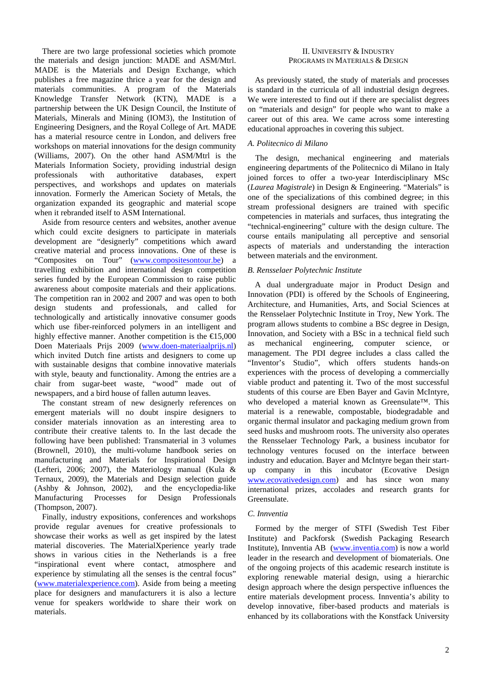There are two large professional societies which promote the materials and design junction: MADE and ASM/Mtrl. MADE is the Materials and Design Exchange, which publishes a free magazine thrice a year for the design and materials communities. A program of the Materials Knowledge Transfer Network (KTN), MADE is a partnership between the UK Design Council, the Institute of Materials, Minerals and Mining (IOM3), the Institution of Engineering Designers, and the Royal College of Art. MADE has a material resource centre in London, and delivers free workshops on material innovations for the design community (Williams, 2007). On the other hand ASM/Mtrl is the Materials Information Society, providing industrial design professionals with authoritative databases, expert perspectives, and workshops and updates on materials innovation. Formerly the American Society of Metals, the organization expanded its geographic and material scope when it rebranded itself to ASM International.

Aside from resource centers and websites, another avenue which could excite designers to participate in materials development are "designerly" competitions which award creative material and process innovations. One of these is "Composites on Tour" [\(www.compositesontour.be\)](http://www.compositesontour.be/) a travelling exhibition and international design competition series funded by the European Commission to raise public awareness about composite materials and their applications. The competition ran in 2002 and 2007 and was open to both design students and professionals, and called for technologically and artistically innovative consumer goods which use fiber-reinforced polymers in an intelligent and highly effective manner. Another competition is the  $\epsilon$ 15,000 Doen Materiaals Prijs 2009 ([www.doen-materiaalprijs.nl](http://www.doen-materiaalprijs.nl/)) which invited Dutch fine artists and designers to come up with sustainable designs that combine innovative materials with style, beauty and functionality. Among the entries are a chair from sugar-beet waste, "wood" made out of newspapers, and a bird house of fallen autumn leaves.

The constant stream of new designerly references on emergent materials will no doubt inspire designers to consider materials innovation as an interesting area to contribute their creative talents to. In the last decade the following have been published: Transmaterial in 3 volumes (Brownell, 2010), the multi-volume handbook series on manufacturing and Materials for Inspirational Design (Lefteri, 2006; 2007), the Materiology manual (Kula & Ternaux, 2009), the Materials and Design selection guide (Ashby & Johnson, 2002), and the encyclopedia-like Manufacturing Processes for Design Professionals (Thompson, 2007).

Finally, industry expositions, conferences and workshops provide regular avenues for creative professionals to showcase their works as well as get inspired by the latest material discoveries. The MaterialXperience yearly trade shows in various cities in the Netherlands is a free "inspirational event where contact, atmosphere and experience by stimulating all the senses is the central focus" ([www.materialexperience.com\)](http://www.materialexperience.com/). Aside from being a meeting place for designers and manufacturers it is also a lecture venue for speakers worldwide to share their work on materials.

#### II. UNIVERSITY & INDUSTRY PROGRAMS IN MATERIALS & DESIGN

As previously stated, the study of materials and processes is standard in the curricula of all industrial design degrees. We were interested to find out if there are specialist degrees on "materials and design" for people who want to make a career out of this area. We came across some interesting educational approaches in covering this subject.

#### *A. Politecnico di Milano*

The design, mechanical engineering and materials engineering departments of the Politecnico di Milano in Italy joined forces to offer a two-year Interdisciplinary MSc (*Laurea Magistrale*) in Design & Engineering. "Materials" is one of the specializations of this combined degree; in this stream professional designers are trained with specific competencies in materials and surfaces, thus integrating the "technical-engineering" culture with the design culture. The course entails manipulating all perceptive and sensorial aspects of materials and understanding the interaction between materials and the environment.

#### *B. Rensselaer Polytechnic Institute*

A dual undergraduate major in Product Design and Innovation (PDI) is offered by the Schools of Engineering, Architecture, and Humanities, Arts, and Social Sciences at the Rensselaer Polytechnic Institute in Troy, New York. The program allows students to combine a BSc degree in Design, Innovation, and Society with a BSc in a technical field such as mechanical engineering, computer science, or management. The PDI degree includes a class called the "Inventor's Studio", which offers students hands-on experiences with the process of developing a commercially viable product and patenting it. Two of the most successful students of this course are Eben Bayer and Gavin McIntyre, who developed a material known as Greensulate™. This material is a renewable, compostable, biodegradable and organic thermal insulator and packaging medium grown from seed husks and mushroom roots. The university also operates the Rensselaer Technology Park, a business incubator for technology ventures focused on the interface between industry and education. Bayer and McIntyre began their startup company in this incubator (Ecovative Design [www.ecovativedesign.com](http://www.ecovativedesign.com/)) and has since won many international prizes, accolades and research grants for Greensulate.

#### *C. Innventia*

Formed by the merger of STFI (Swedish Test Fiber Institute) and Packforsk (Swedish Packaging Research Institute), Innventia AB ([www.inventia.com](http://www.inventia.com/)) is now a world leader in the research and development of biomaterials. One of the ongoing projects of this academic research institute is exploring renewable material design, using a hierarchic design approach where the design perspective influences the entire materials development process. Innventia's ability to develop innovative, fiber-based products and materials is enhanced by its collaborations with the Konstfack University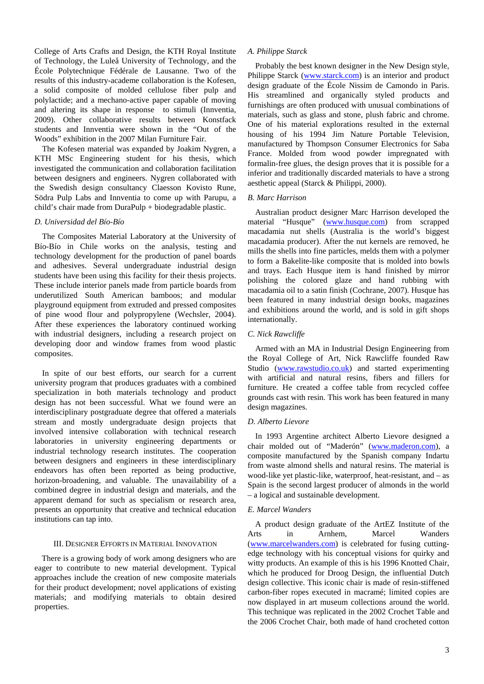College of Arts Crafts and Design, the KTH Royal Institute of Technology, the Luleå University of Technology, and the École Polytechnique Fédérale de Lausanne. Two of the results of this industry-academe collaboration is the Kofesen, a solid composite of molded cellulose fiber pulp and polylactide; and a mechano-active paper capable of moving and altering its shape in response to stimuli (Innventia, 2009). Other collaborative results between Konstfack students and Innventia were shown in the "Out of the Woods" exhibition in the 2007 Milan Furniture Fair.

The Kofesen material was expanded by Joakim Nygren, a KTH MSc Engineering student for his thesis, which investigated the communication and collaboration facilitation between designers and engineers. Nygren collaborated with the Swedish design consultancy Claesson Kovisto Rune, Södra Pulp Labs and Innventia to come up with Parupu, a child's chair made from DuraPulp + biodegradable plastic.

#### *D. Universidad del Bío-Bío*

The Composites Material Laboratory at the University of Bío-Bío in Chile works on the analysis, testing and technology development for the production of panel boards and adhesives. Several undergraduate industrial design students have been using this facility for their thesis projects. These include interior panels made from particle boards from underutilized South American bamboos; and modular playground equipment from extruded and pressed composites of pine wood flour and polypropylene (Wechsler, 2004). After these experiences the laboratory continued working with industrial designers, including a research project on developing door and window frames from wood plastic composites.

In spite of our best efforts, our search for a current university program that produces graduates with a combined specialization in both materials technology and product design has not been successful. What we found were an interdisciplinary postgraduate degree that offered a materials stream and mostly undergraduate design projects that involved intensive collaboration with technical research laboratories in university engineering departments or industrial technology research institutes. The cooperation between designers and engineers in these interdisciplinary endeavors has often been reported as being productive, horizon-broadening, and valuable. The unavailability of a combined degree in industrial design and materials, and the apparent demand for such as specialism or research area, presents an opportunity that creative and technical education institutions can tap into.

#### III. DESIGNER EFFORTS IN MATERIAL INNOVATION

There is a growing body of work among designers who are eager to contribute to new material development. Typical approaches include the creation of new composite materials for their product development; novel applications of existing materials; and modifying materials to obtain desired properties.

#### *A. Philippe Starck*

Probably the best known designer in the New Design style, Philippe Starck ([www.starck.com\)](http://www.starck.com/) is an interior and product design graduate of the École Nissim de Camondo in Paris. His streamlined and organically styled products and furnishings are often produced with unusual combinations of materials, such as glass and stone, plush fabric and chrome. One of his material explorations resulted in the external housing of his 1994 Jim Nature Portable Television, manufactured by Thompson Consumer Electronics for Saba France. Molded from wood powder impregnated with formalin-free glues, the design proves that it is possible for a inferior and traditionally discarded materials to have a strong aesthetic appeal (Starck & Philippi, 2000).

#### *B. Marc Harrison*

Australian product designer Marc Harrison developed the material "Husque" [\(www.husque.com\)](http://www.husque.com/) from scrapped macadamia nut shells (Australia is the world's biggest macadamia producer). After the nut kernels are removed, he mills the shells into fine particles, melds them with a polymer to form a Bakelite-like composite that is molded into bowls and trays. Each Husque item is hand finished by mirror polishing the colored glaze and hand rubbing with macadamia oil to a satin finish (Cochrane, 2007). Husque has been featured in many industrial design books, magazines and exhibitions around the world, and is sold in gift shops internationally.

#### *C. Nick Rawcliffe*

Armed with an MA in Industrial Design Engineering from the Royal College of Art, Nick Rawcliffe founded Raw Studio [\(www.rawstudio.co.uk\)](http://www.rawstudio.co.uk/) and started experimenting with artificial and natural resins, fibers and fillers for furniture. He created a coffee table from recycled coffee grounds cast with resin. This work has been featured in many design magazines.

#### *D. Alberto Lievore*

In 1993 Argentine architect Alberto Lievore designed a chair molded out of "Maderón" ([www.maderon.com\)](http://www.maderon.com/), a composite manufactured by the Spanish company Indartu from waste almond shells and natural resins. The material is wood-like yet plastic-like, waterproof, heat-resistant, and – as Spain is the second largest producer of almonds in the world – a logical and sustainable development.

#### *E. Marcel Wanders*

A product design graduate of the ArtEZ Institute of the Arts in Arnhem, Marcel Wanders [\(www.marcelwanders.com\)](http://www.marcelwanders.com/) is celebrated for fusing cuttingedge technology with his conceptual visions for quirky and witty products. An example of this is his 1996 Knotted Chair, which he produced for Droog Design, the influential Dutch design collective. This iconic chair is made of resin-stiffened carbon-fiber ropes executed in macramé; limited copies are now displayed in art museum collections around the world. This technique was replicated in the 2002 Crochet Table and the 2006 Crochet Chair, both made of hand crocheted cotton